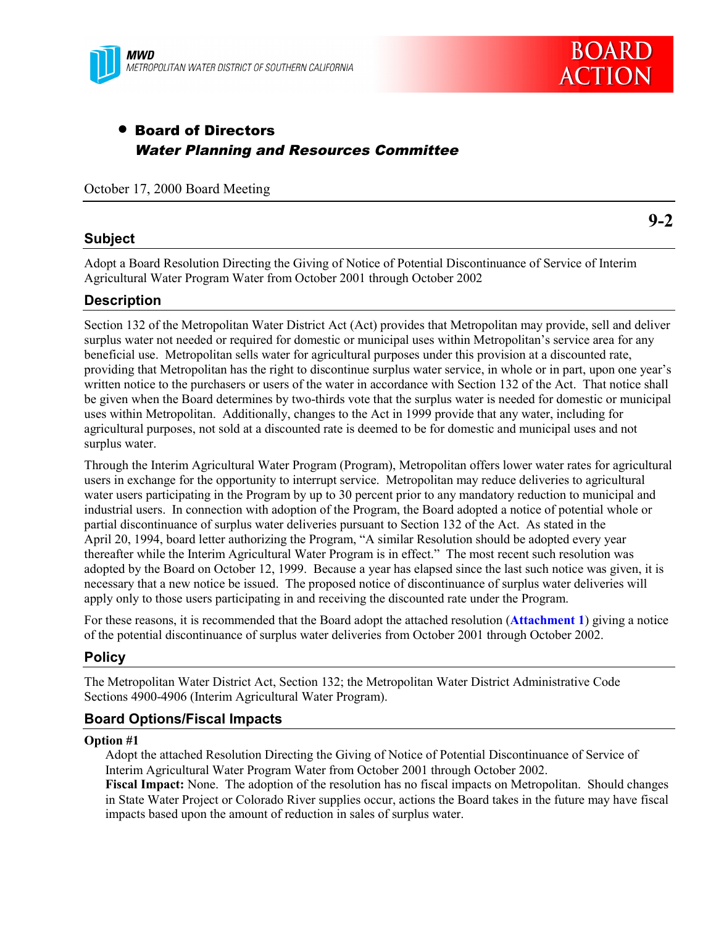

# • Board of Directors Water Planning and Resources Committee

October 17, 2000 Board Meeting

# **Subject**

**9-2**

Adopt a Board Resolution Directing the Giving of Notice of Potential Discontinuance of Service of Interim Agricultural Water Program Water from October 2001 through October 2002

# **Description**

Section 132 of the Metropolitan Water District Act (Act) provides that Metropolitan may provide, sell and deliver surplus water not needed or required for domestic or municipal uses within Metropolitan's service area for any beneficial use. Metropolitan sells water for agricultural purposes under this provision at a discounted rate, providing that Metropolitan has the right to discontinue surplus water service, in whole or in part, upon one year's written notice to the purchasers or users of the water in accordance with Section 132 of the Act. That notice shall be given when the Board determines by two-thirds vote that the surplus water is needed for domestic or municipal uses within Metropolitan. Additionally, changes to the Act in 1999 provide that any water, including for agricultural purposes, not sold at a discounted rate is deemed to be for domestic and municipal uses and not surplus water.

Through the Interim Agricultural Water Program (Program), Metropolitan offers lower water rates for agricultural users in exchange for the opportunity to interrupt service. Metropolitan may reduce deliveries to agricultural water users participating in the Program by up to 30 percent prior to any mandatory reduction to municipal and industrial users. In connection with adoption of the Program, the Board adopted a notice of potential whole or partial discontinuance of surplus water deliveries pursuant to Section 132 of the Act. As stated in the April 20, 1994, board letter authorizing the Program, "A similar Resolution should be adopted every year thereafter while the Interim Agricultural Water Program is in effect." The most recent such resolution was adopted by the Board on October 12, 1999. Because a year has elapsed since the last such notice was given, it is necessary that a new notice be issued. The proposed notice of discontinuance of surplus water deliveries will apply only to those users participating in and receiving the discounted rate under the Program.

For these reasons, it is recommended that the Board adopt the attached resolution (**Attachment 1**) giving a notice of the potential discontinuance of surplus water deliveries from October 2001 through October 2002.

## **Policy**

The Metropolitan Water District Act, Section 132; the Metropolitan Water District Administrative Code Sections 4900-4906 (Interim Agricultural Water Program).

# **Board Options/Fiscal Impacts**

#### **Option #1**

Adopt the attached Resolution Directing the Giving of Notice of Potential Discontinuance of Service of Interim Agricultural Water Program Water from October 2001 through October 2002.

**Fiscal Impact:** None. The adoption of the resolution has no fiscal impacts on Metropolitan. Should changes in State Water Project or Colorado River supplies occur, actions the Board takes in the future may have fiscal impacts based upon the amount of reduction in sales of surplus water.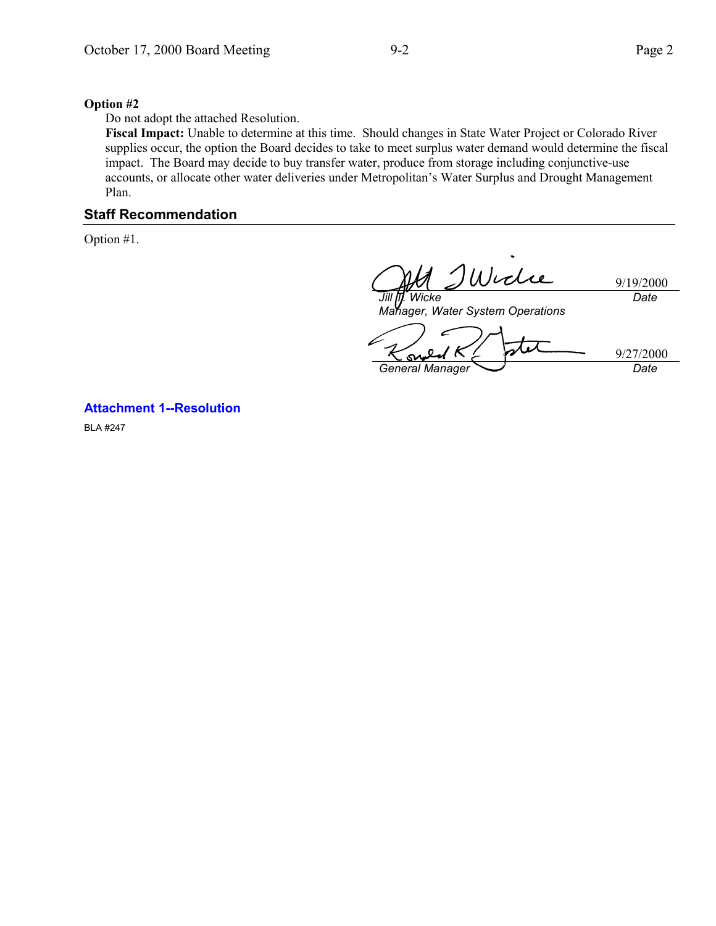#### **Option #2**

Do not adopt the attached Resolution.

**Fiscal Impact:** Unable to determine at this time. Should changes in State Water Project or Colorado River supplies occur, the option the Board decides to take to meet surplus water demand would determine the fiscal impact. The Board may decide to buy transfer water, produce from storage including conjunctive-use accounts, or allocate other water deliveries under Metropolitan's Water Surplus and Drought Management Plan.

## **Staff Recommendation**

Option #1.

Widie *Jill T. Wicke*

9/19/2000 *Date*

*Manager, Water System Operations*

9/27/2000 **General Manager** Date

**Attachment 1--Resolution**

BLA #247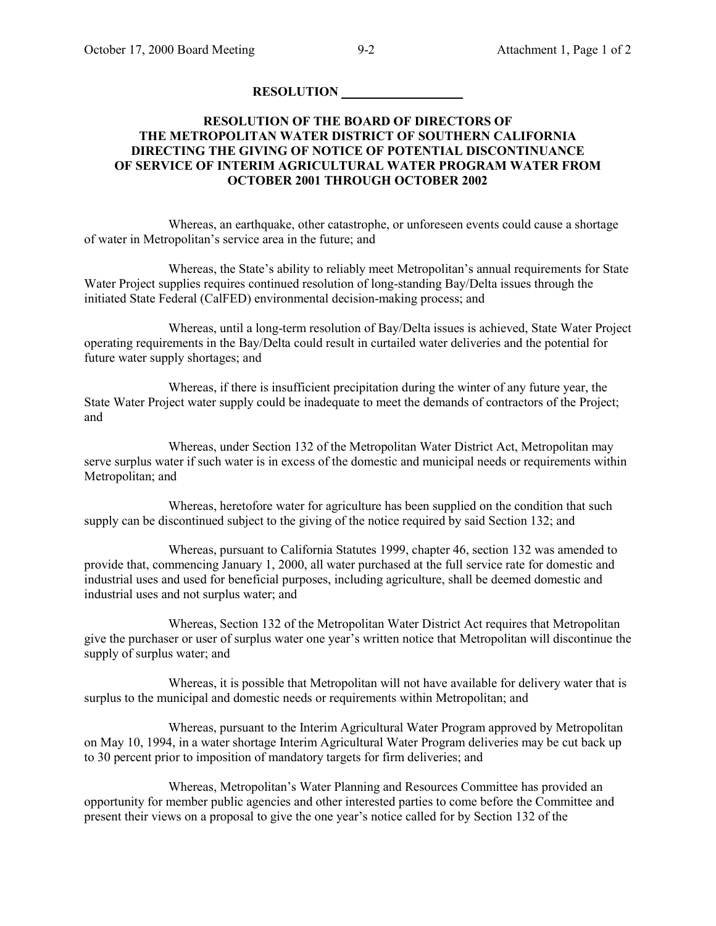### **RESOLUTION**

### **RESOLUTION OF THE BOARD OF DIRECTORS OF THE METROPOLITAN WATER DISTRICT OF SOUTHERN CALIFORNIA DIRECTING THE GIVING OF NOTICE OF POTENTIAL DISCONTINUANCE OF SERVICE OF INTERIM AGRICULTURAL WATER PROGRAM WATER FROM OCTOBER 2001 THROUGH OCTOBER 2002**

Whereas, an earthquake, other catastrophe, or unforeseen events could cause a shortage of water in Metropolitan's service area in the future; and

Whereas, the State's ability to reliably meet Metropolitan's annual requirements for State Water Project supplies requires continued resolution of long-standing Bay/Delta issues through the initiated State Federal (CalFED) environmental decision-making process; and

Whereas, until a long-term resolution of Bay/Delta issues is achieved, State Water Project operating requirements in the Bay/Delta could result in curtailed water deliveries and the potential for future water supply shortages; and

Whereas, if there is insufficient precipitation during the winter of any future year, the State Water Project water supply could be inadequate to meet the demands of contractors of the Project; and

Whereas, under Section 132 of the Metropolitan Water District Act, Metropolitan may serve surplus water if such water is in excess of the domestic and municipal needs or requirements within Metropolitan; and

Whereas, heretofore water for agriculture has been supplied on the condition that such supply can be discontinued subject to the giving of the notice required by said Section 132; and

Whereas, pursuant to California Statutes 1999, chapter 46, section 132 was amended to provide that, commencing January 1, 2000, all water purchased at the full service rate for domestic and industrial uses and used for beneficial purposes, including agriculture, shall be deemed domestic and industrial uses and not surplus water; and

Whereas, Section 132 of the Metropolitan Water District Act requires that Metropolitan give the purchaser or user of surplus water one year's written notice that Metropolitan will discontinue the supply of surplus water; and

Whereas, it is possible that Metropolitan will not have available for delivery water that is surplus to the municipal and domestic needs or requirements within Metropolitan; and

Whereas, pursuant to the Interim Agricultural Water Program approved by Metropolitan on May 10, 1994, in a water shortage Interim Agricultural Water Program deliveries may be cut back up to 30 percent prior to imposition of mandatory targets for firm deliveries; and

Whereas, Metropolitan's Water Planning and Resources Committee has provided an opportunity for member public agencies and other interested parties to come before the Committee and present their views on a proposal to give the one year's notice called for by Section 132 of the